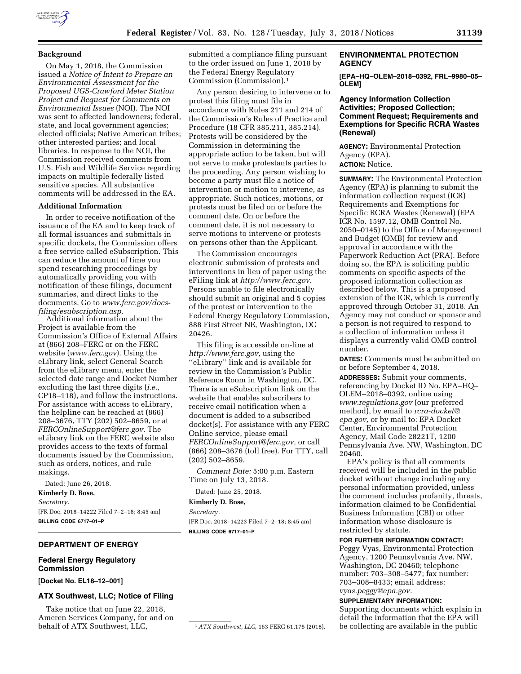## **Background**

On May 1, 2018, the Commission issued a *Notice of Intent to Prepare an Environmental Assessment for the Proposed UGS-Crawford Meter Station Project and Request for Comments on Environmental Issues* (NOI). The NOI was sent to affected landowners; federal, state, and local government agencies; elected officials; Native American tribes; other interested parties; and local libraries. In response to the NOI, the Commission received comments from U.S. Fish and Wildlife Service regarding impacts on multiple federally listed sensitive species. All substantive comments will be addressed in the EA.

#### **Additional Information**

In order to receive notification of the issuance of the EA and to keep track of all formal issuances and submittals in specific dockets, the Commission offers a free service called eSubscription. This can reduce the amount of time you spend researching proceedings by automatically providing you with notification of these filings, document summaries, and direct links to the documents. Go to *[www.ferc.gov/docs](http://www.ferc.gov/docs-filing/esubscription.asp)[filing/esubscription.asp.](http://www.ferc.gov/docs-filing/esubscription.asp)* 

Additional information about the Project is available from the Commission's Office of External Affairs at (866) 208–FERC or on the FERC website (*[www.ferc.gov](http://www.ferc.gov)*). Using the eLibrary link, select General Search from the eLibrary menu, enter the selected date range and Docket Number excluding the last three digits (*i.e.,*  CP18–118), and follow the instructions. For assistance with access to eLibrary, the helpline can be reached at (866) 208–3676, TTY (202) 502–8659, or at *[FERCOnlineSupport@ferc.gov.](mailto:FERCOnlineSupport@ferc.gov)* The eLibrary link on the FERC website also provides access to the texts of formal documents issued by the Commission, such as orders, notices, and rule makings.

Dated: June 26, 2018.

**Kimberly D. Bose,** 

*Secretary.* 

[FR Doc. 2018–14222 Filed 7–2–18; 8:45 am] **BILLING CODE 6717–01–P** 

# **DEPARTMENT OF ENERGY**

## **Federal Energy Regulatory Commission**

**[Docket No. EL18–12–001]** 

#### **ATX Southwest, LLC; Notice of Filing**

Take notice that on June 22, 2018, Ameren Services Company, for and on behalf of ATX Southwest, LLC,

submitted a compliance filing pursuant to the order issued on June 1, 2018 by the Federal Energy Regulatory Commission (Commission).1

Any person desiring to intervene or to protest this filing must file in accordance with Rules 211 and 214 of the Commission's Rules of Practice and Procedure (18 CFR 385.211, 385.214). Protests will be considered by the Commission in determining the appropriate action to be taken, but will not serve to make protestants parties to the proceeding. Any person wishing to become a party must file a notice of intervention or motion to intervene, as appropriate. Such notices, motions, or protests must be filed on or before the comment date. On or before the comment date, it is not necessary to serve motions to intervene or protests on persons other than the Applicant.

The Commission encourages electronic submission of protests and interventions in lieu of paper using the eFiling link at *[http://www.ferc.gov.](http://www.ferc.gov)*  Persons unable to file electronically should submit an original and 5 copies of the protest or intervention to the Federal Energy Regulatory Commission, 888 First Street NE, Washington, DC 20426.

This filing is accessible on-line at *[http://www.ferc.gov,](http://www.ferc.gov)* using the ''eLibrary'' link and is available for review in the Commission's Public Reference Room in Washington, DC. There is an eSubscription link on the website that enables subscribers to receive email notification when a document is added to a subscribed docket(s). For assistance with any FERC Online service, please email *[FERCOnlineSupport@ferc.gov,](mailto:FERCOnlineSupport@ferc.gov)* or call (866) 208–3676 (toll free). For TTY, call (202) 502–8659.

*Comment Date:* 5:00 p.m. Eastern Time on July 13, 2018.

Dated: June 25, 2018.

**Kimberly D. Bose,** 

*Secretary.* 

[FR Doc. 2018–14223 Filed 7–2–18; 8:45 am] **BILLING CODE 6717–01–P** 

# **ENVIRONMENTAL PROTECTION AGENCY**

**[EPA–HQ–OLEM–2018–0392, FRL–9980–05– OLEM]** 

### **Agency Information Collection Activities; Proposed Collection; Comment Request; Requirements and Exemptions for Specific RCRA Wastes (Renewal)**

**AGENCY:** Environmental Protection Agency (EPA). **ACTION:** Notice.

**SUMMARY:** The Environmental Protection Agency (EPA) is planning to submit the information collection request (ICR) Requirements and Exemptions for Specific RCRA Wastes (Renewal) (EPA ICR No. 1597.12, OMB Control No. 2050–0145) to the Office of Management and Budget (OMB) for review and approval in accordance with the Paperwork Reduction Act (PRA). Before doing so, the EPA is soliciting public comments on specific aspects of the proposed information collection as described below. This is a proposed extension of the ICR, which is currently approved through October 31, 2018. An Agency may not conduct or sponsor and a person is not required to respond to a collection of information unless it displays a currently valid OMB control number.

**DATES:** Comments must be submitted on or before September 4, 2018.

**ADDRESSES:** Submit your comments, referencing by Docket ID No. EPA–HQ– OLEM–2018–0392, online using *[www.regulations.gov](http://www.regulations.gov)* (our preferred method), by email to *[rcra-docket@](mailto:rcra-docket@epa.gov) [epa.gov,](mailto:rcra-docket@epa.gov)* or by mail to: EPA Docket Center, Environmental Protection Agency, Mail Code 28221T, 1200 Pennsylvania Ave. NW, Washington, DC 20460.

EPA's policy is that all comments received will be included in the public docket without change including any personal information provided, unless the comment includes profanity, threats, information claimed to be Confidential Business Information (CBI) or other information whose disclosure is restricted by statute.

## **FOR FURTHER INFORMATION CONTACT:**

Peggy Vyas, Environmental Protection Agency, 1200 Pennsylvania Ave. NW, Washington, DC 20460; telephone number: 703–308–5477; fax number: 703–308–8433; email address: *[vyas.peggy@epa.gov.](mailto:vyas.peggy@epa.gov)* 

#### **SUPPLEMENTARY INFORMATION:**

Supporting documents which explain in detail the information that the EPA will be collecting are available in the public

<sup>1</sup>*ATX Southwest, LLC,* 163 FERC 61,175 (2018).